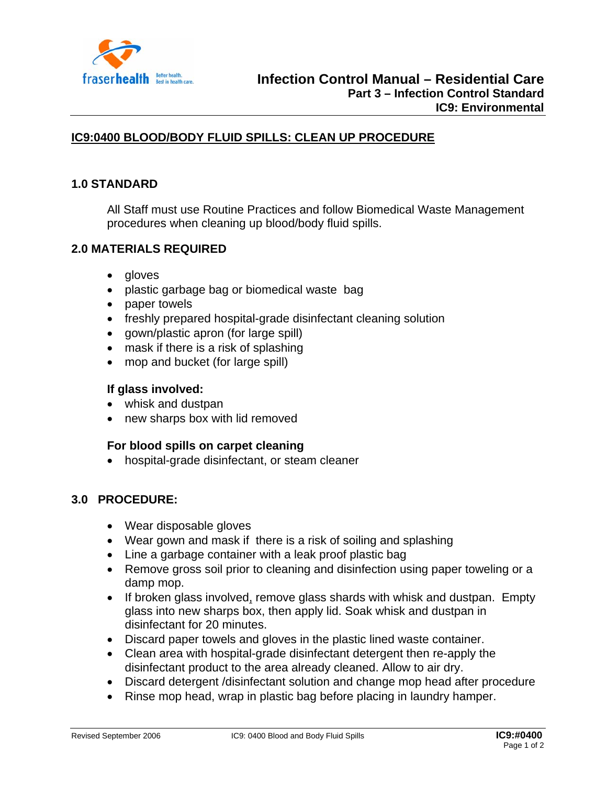

# **IC9:0400 BLOOD/BODY FLUID SPILLS: CLEAN UP PROCEDURE**

### **1.0 STANDARD**

All Staff must use Routine Practices and follow Biomedical Waste Management procedures when cleaning up blood/body fluid spills.

### **2.0 MATERIALS REQUIRED**

- gloves
- plastic garbage bag or biomedical waste bag
- paper towels
- freshly prepared hospital-grade disinfectant cleaning solution
- gown/plastic apron (for large spill)
- mask if there is a risk of splashing
- mop and bucket (for large spill)

#### **If glass involved:**

- whisk and dustpan
- new sharps box with lid removed

#### **For blood spills on carpet cleaning**

• hospital-grade disinfectant, or steam cleaner

#### **3.0 PROCEDURE:**

- Wear disposable gloves
- Wear gown and mask if there is a risk of soiling and splashing
- Line a garbage container with a leak proof plastic bag
- Remove gross soil prior to cleaning and disinfection using paper toweling or a damp mop.
- If broken glass involved, remove glass shards with whisk and dustpan. Empty glass into new sharps box, then apply lid. Soak whisk and dustpan in disinfectant for 20 minutes.
- Discard paper towels and gloves in the plastic lined waste container.
- Clean area with hospital-grade disinfectant detergent then re-apply the disinfectant product to the area already cleaned. Allow to air dry.
- Discard detergent /disinfectant solution and change mop head after procedure
- Rinse mop head, wrap in plastic bag before placing in laundry hamper.